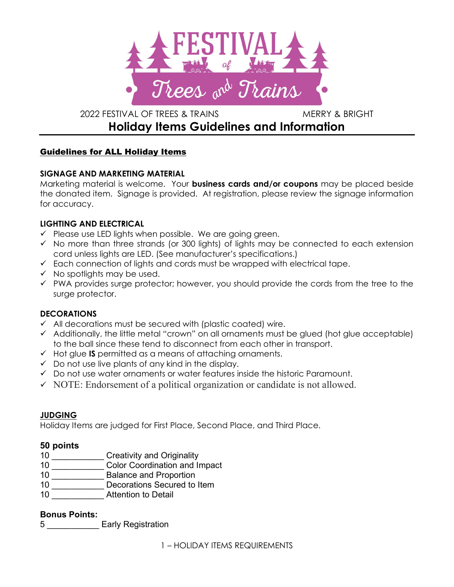

# 2022 FESTIVAL OF TREES & TRAINS MERRY & BRIGHT Holiday Items Guidelines and Information

# Guidelines for ALL Holiday Items

## SIGNAGE AND MARKETING MATERIAL

Marketing material is welcome. Your **business cards and/or coupons** may be placed beside the donated item. Signage is provided. At registration, please review the signage information for accuracy.

## LIGHTING AND ELECTRICAL

- $\checkmark$  Please use LED lights when possible. We are going green.
- $\checkmark$  No more than three strands (or 300 lights) of lights may be connected to each extension cord unless lights are LED. (See manufacturer's specifications.)
- $\checkmark$  Each connection of lights and cords must be wrapped with electrical tape.
- $\checkmark$  No spotlights may be used.
- $\checkmark$  PWA provides surge protector; however, you should provide the cords from the tree to the surge protector.

## **DECORATIONS**

- $\checkmark$  All decorations must be secured with (plastic coated) wire.
- $\checkmark$  Additionally, the little metal "crown" on all ornaments must be glued (hot glue acceptable) to the ball since these tend to disconnect from each other in transport.
- $\checkmark$  Hot glue **IS** permitted as a means of attaching ornaments.
- $\checkmark$  Do not use live plants of any kind in the display.
- $\checkmark$  Do not use water ornaments or water features inside the historic Paramount.
- $\checkmark$  NOTE: Endorsement of a political organization or candidate is not allowed.

#### JUDGING

Holiday Items are judged for First Place, Second Place, and Third Place.

## 50 points

- 10 **Creativity and Originality**
- 10 \_\_\_\_\_\_\_\_\_\_\_ Color Coordination and Impact
- 10 \_\_\_\_\_\_\_\_\_\_\_\_\_\_ Balance and Proportion
- 10 \_\_\_\_\_\_\_\_\_\_\_\_\_\_<br>Decorations Secured to Item
- 10 **Attention to Detail**

#### Bonus Points:

5 **Early Registration**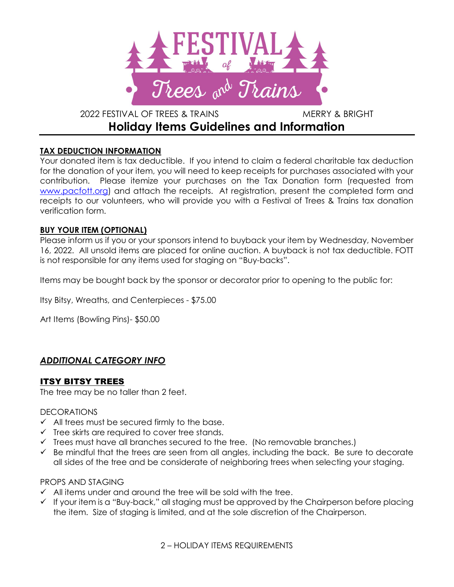

# 2022 FESTIVAL OF TREES & TRAINS MERRY & BRIGHT Holiday Items Guidelines and Information

## TAX DEDUCTION INFORMATION

Your donated item is tax deductible. If you intend to claim a federal charitable tax deduction for the donation of your item, you will need to keep receipts for purchases associated with your contribution. Please itemize your purchases on the Tax Donation form (requested from www.pacfott.org) and attach the receipts. At registration, present the completed form and receipts to our volunteers, who will provide you with a Festival of Trees & Trains tax donation verification form.

#### BUY YOUR ITEM (OPTIONAL)

Please inform us if you or your sponsors intend to buyback your item by Wednesday, November 16, 2022. All unsold items are placed for online auction. A buyback is not tax deductible. FOTT is not responsible for any items used for staging on "Buy-backs".

Items may be bought back by the sponsor or decorator prior to opening to the public for:

Itsy Bitsy, Wreaths, and Centerpieces - \$75.00

Art Items (Bowling Pins)- \$50.00

# ADDITIONAL CATEGORY INFO

## ITSY BITSY TREES

The tree may be no taller than 2 feet.

#### **DECORATIONS**

- $\checkmark$  All trees must be secured firmly to the base.
- $\checkmark$  Tree skirts are required to cover tree stands.
- $\checkmark$  Trees must have all branches secured to the tree. (No removable branches.)
- $\checkmark$  Be mindful that the trees are seen from all angles, including the back. Be sure to decorate all sides of the tree and be considerate of neighboring trees when selecting your staging.

#### PROPS AND STAGING

- $\checkmark$  All items under and around the tree will be sold with the tree.
- $\checkmark$  If your item is a "Buy-back," all staging must be approved by the Chairperson before placing the item. Size of staging is limited, and at the sole discretion of the Chairperson.

2 – HOLIDAY ITEMS REQUIREMENTS